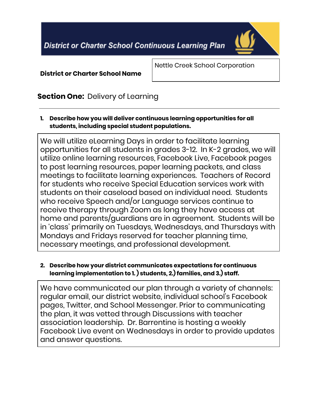**District or Charter School Continuous Learning Plan** 



**District or Charter School Name**

Nettle Creek School Corporation

# **Section One:** Delivery of Learning

**1. Describe how you will deliver continuous learning opportunities for all students, including special student populations.**

We will utilize eLearning Days in order to facilitate learning opportunities for all students in grades 3-12. In K-2 grades, we will utilize online learning resources, Facebook Live, Facebook pages to post learning resources, paper learning packets, and class meetings to facilitate learning experiences. Teachers of Record for students who receive Special Education services work with students on their caseload based on individual need. Students who receive Speech and/or Language services continue to receive therapy through Zoom as long they have access at home and parents/guardians are in agreement. Students will be in 'class' primarily on Tuesdays, Wednesdays, and Thursdays with Mondays and Fridays reserved for teacher planning time, necessary meetings, and professional development.

### **2. Describe how your district communicates expectations for continuous learning implementation to 1. ) students, 2.) families, and 3.) staff.**

We have communicated our plan through a variety of channels: regular email, our district website, individual school's Facebook pages, Twitter, and School Messenger. Prior to communicating the plan, it was vetted through Discussions with teacher association leadership. Dr. Barrentine is hosting a weekly Facebook Live event on Wednesdays in order to provide updates and answer questions.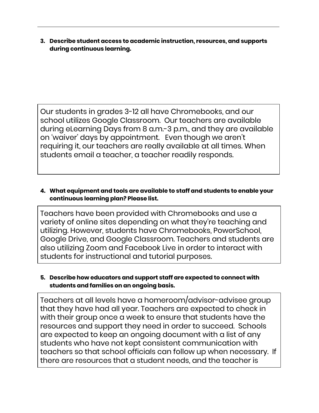**3. Describe student access to academic instruction, resources, and supports during continuous learning.**

Our students in grades 3-12 all have Chromebooks, and our school utilizes Google Classroom. Our teachers are available during eLearning Days from 8 a.m.-3 p.m., and they are available on 'waiver' days by appointment. Even though we aren't requiring it, our teachers are really available at all times. When students email a teacher, a teacher readily responds.

### **4. What equipment and tools are available to staff and students to enable your continuous learning plan? Please list.**

Teachers have been provided with Chromebooks and use a variety of online sites depending on what they're teaching and utilizing. However, students have Chromebooks, PowerSchool, Google Drive, and Google Classroom. Teachers and students are also utilizing Zoom and Facebook Live in order to interact with students for instructional and tutorial purposes.

# **5. Describe how educators and support staff are expected to connect with students and families on an ongoing basis.**

Teachers at all levels have a homeroom/advisor-advisee group that they have had all year. Teachers are expected to check in with their group once a week to ensure that students have the resources and support they need in order to succeed. Schools are expected to keep an ongoing document with a list of any students who have not kept consistent communication with teachers so that school officials can follow up when necessary. If there are resources that a student needs, and the teacher is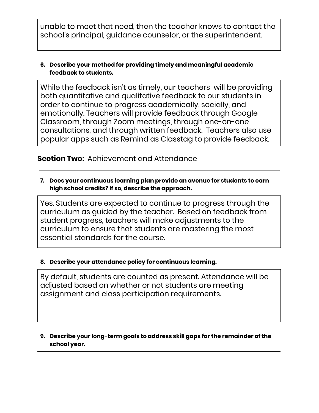unable to meet that need, then the teacher knows to contact the school's principal, guidance counselor, or the superintendent.

### **6. Describe your method for providing timely and meaningful academic feedback to students.**

While the feedback isn't as timely, our teachers will be providing both quantitative and qualitative feedback to our students in order to continue to progress academically, socially, and emotionally. Teachers will provide feedback through Google Classroom, through Zoom meetings, through one-on-one consultations, and through written feedback. Teachers also use popular apps such as Remind as Classtag to provide feedback.

# **Section Two:** Achievement and Attendance

**7. Does your continuous learning plan provide an avenue for students to earn high school credits? If so, describe the approach.**

Yes. Students are expected to continue to progress through the curriculum as guided by the teacher. Based on feedback from student progress, teachers will make adjustments to the curriculum to ensure that students are mastering the most essential standards for the course.

# **8. Describe your attendance policy for continuous learning.**

By default, students are counted as present. Attendance will be adjusted based on whether or not students are meeting assignment and class participation requirements.

### **9. Describe your long-term goals to address skill gaps for the remainder of the school year.**